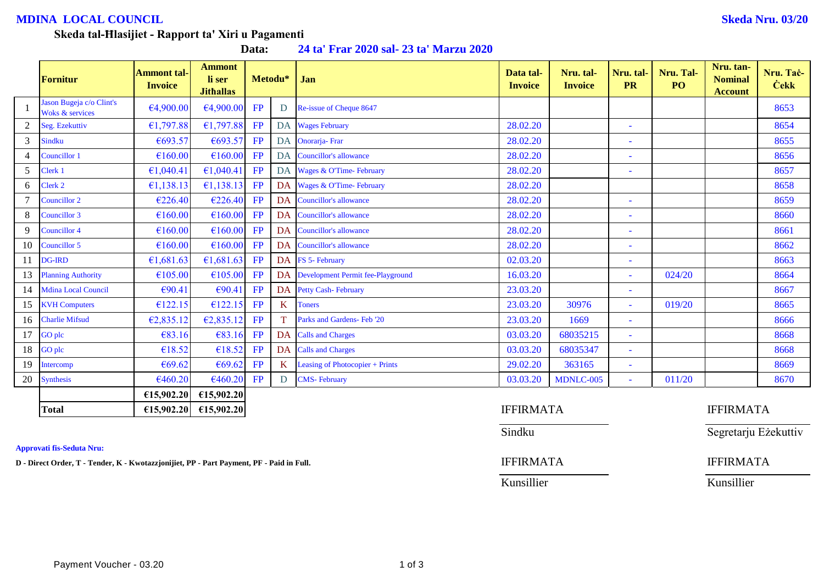## **MDINA LOCAL COUNCIL Skeda Nru. 03/20**

# **Skeda tal-Ħlasijiet - Rapport ta' Xiri u Pagamenti**

**Data: 24 ta' Frar 2020 sal- 23 ta' Marzu 2020**

|    | <b>Fornitur</b>                                        | <b>Ammont tal-</b><br><b>Invoice</b> | <b>Ammont</b><br>li ser<br><b>Jithallas</b> |           | Metodu*      | Jan                                  | Data tal-<br><b>Invoice</b> | Nru. tal-<br><b>Invoice</b> | Nru. tal-<br><b>PR</b>   | Nru. Tal-<br>PO | Nru. tan-<br><b>Nominal</b><br><b>Account</b> | Nru. Tač-<br><b>Cekk</b> |
|----|--------------------------------------------------------|--------------------------------------|---------------------------------------------|-----------|--------------|--------------------------------------|-----------------------------|-----------------------------|--------------------------|-----------------|-----------------------------------------------|--------------------------|
|    | Jason Bugeja c/o Clint's<br><b>Woks &amp; services</b> | €4,900.00                            | €4,900.00                                   | FP        | D            | Re-issue of Cheque 8647              |                             |                             |                          |                 |                                               | 8653                     |
|    | Seg. Ezekuttiv                                         | €1,797.88                            | £1,797.88                                   | FP        | DA           | <b>Wages February</b>                | 28.02.20                    |                             |                          |                 |                                               | 8654                     |
| 3  | <b>Sindku</b>                                          | €693.57                              | €693.57                                     | FP        | DA           | Onorarja-Frar                        | 28.02.20                    |                             | $\sim$                   |                 |                                               | 8655                     |
|    | Councillor 1                                           | €160.00                              | €160.00                                     | FP        | DA           | <b>Councillor's allowance</b>        | 28.02.20                    |                             | $\sim$                   |                 |                                               | 8656                     |
| 5  | Clerk 1                                                | €1,040.41                            | €1,040.41                                   | <b>FP</b> | DA           | Wages & O'Time- February             | 28.02.20                    |                             |                          |                 |                                               | 8657                     |
| 6  | Clerk 2                                                | €1,138.13                            | €1,138.13                                   | FP        | DA           | Wages & O'Time-February              | 28.02.20                    |                             |                          |                 |                                               | 8658                     |
|    | Councillor 2                                           | €226.40                              | €226.40                                     | FP        |              | DA Councillor's allowance            | 28.02.20                    |                             |                          |                 |                                               | 8659                     |
| 8  | Councillor 3                                           | €160.00                              | £160.00                                     | FP        |              | DA Councillor's allowance            | 28.02.20                    |                             |                          |                 |                                               | 8660                     |
|    | <b>Councillor 4</b>                                    | €160.00                              | €160.00                                     | FP        | DA           | <b>Councillor's allowance</b>        | 28.02.20                    |                             | $\overline{\phantom{a}}$ |                 |                                               | 8661                     |
| 10 | Councillor 5                                           | €160.00                              | €160.00                                     | FP        | DA           | Councillor's allowance               | 28.02.20                    |                             |                          |                 |                                               | 8662                     |
|    | <b>DG-IRD</b>                                          | €1,681.63                            | £1,681.63                                   | <b>FP</b> |              | DA FS 5- February                    | 02.03.20                    |                             | $\sim$                   |                 |                                               | 8663                     |
| 13 | <b>Planning Authority</b>                              | €105.00                              | €105.00                                     | FP        |              | DA Development Permit fee-Playground | 16.03.20                    |                             | $\sim$                   | 024/20          |                                               | 8664                     |
| 14 | <b>Mdina Local Council</b>                             | €90.41                               | €90.41                                      | FP        |              | DA Petty Cash-February               | 23.03.20                    |                             |                          |                 |                                               | 8667                     |
| 15 | <b>KVH Computers</b>                                   | €122.15                              | £122.15                                     | FP        | K            | <b>Toners</b>                        | 23.03.20                    | 30976                       | $\sim$                   | 019/20          |                                               | 8665                     |
| 16 | <b>Charlie Mifsud</b>                                  | €2,835.12                            | E2,835.12                                   | FP        | T.           | Parks and Gardens- Feb '20           | 23.03.20                    | 1669                        | $\sim$                   |                 |                                               | 8666                     |
|    | GO plc                                                 | €83.16                               | €83.16                                      | FP        | DA           | <b>Calls and Charges</b>             | 03.03.20                    | 68035215                    | $\sim$                   |                 |                                               | 8668                     |
| 18 | GO plc                                                 | €18.52                               | €18.52                                      | <b>FP</b> | DA           | <b>Calls and Charges</b>             | 03.03.20                    | 68035347                    | $\sim$                   |                 |                                               | 8668                     |
| 19 | Intercomp                                              | €69.62                               | €69.62                                      | FP        | $\mathbf{K}$ | Leasing of Photocopier + Prints      | 29.02.20                    | 363165                      |                          |                 |                                               | 8669                     |
| 20 | <b>Synthesis</b>                                       | €460.20                              | €460.20                                     | FP        | D            | <b>CMS-February</b>                  | 03.03.20                    | MDNLC-005                   | $\omega$                 | 011/20          |                                               | 8670                     |
|    |                                                        | £15,902.20                           | €15,902.20                                  |           |              |                                      |                             |                             |                          |                 |                                               |                          |
|    |                                                        | $\cdots$                             | $\frac{1}{2}$                               |           |              |                                      | $T \cup T \cup D$           |                             |                          |                 | $T \cup T \cup T$                             |                          |

|                                  | -------- | ---------                                                                                |                  |                      |
|----------------------------------|----------|------------------------------------------------------------------------------------------|------------------|----------------------|
| <b>Total</b>                     |          | $\lvert \{15,902,20\} \rvert$ $\lvert \{15,902,20\} \rvert$                              | <b>IFFIRMATA</b> | <b>IFFIRMATA</b>     |
|                                  |          |                                                                                          | Sindku           | Segretarju Eżekuttiv |
| <b>Approvati fis-Seduta Nru:</b> |          |                                                                                          |                  |                      |
|                                  |          | D - Direct Order, T - Tender, K - Kwotazzjonijiet, PP - Part Payment, PF - Paid in Full. | <b>IFFIRMATA</b> | <b>IFFIRMATA</b>     |
|                                  |          |                                                                                          | Kunsillier       | Kunsillier           |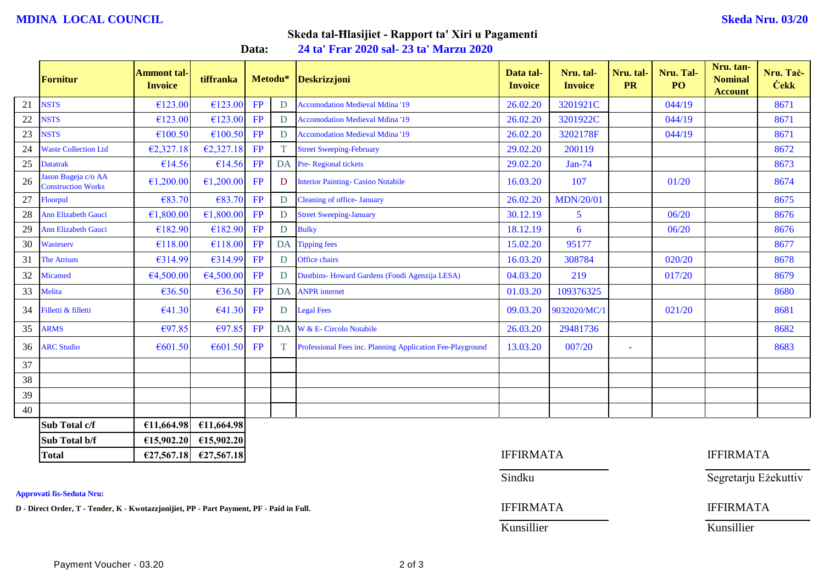## **MDINA LOCAL COUNCIL Skeda Nru. 03/20**

## **Skeda tal-Ħlasijiet - Rapport ta' Xiri u Pagamenti**

**Data: 24 ta' Frar 2020 sal- 23 ta' Marzu 2020**

|    | <b>Fornitur</b>                                 | <b>Ammont tal-</b><br><b>Invoice</b> | tiffranka  | Metodu* |           | <b>Deskrizzjoni</b>                                        | Data tal-<br><b>Invoice</b> | Nru. tal-<br><b>Invoice</b> | Nru. tal-<br><b>PR</b> | Nru. Tal-<br>PO <sub>1</sub> | Nru. tan-<br><b>Nominal</b><br><b>Account</b> | Nru. Tač-<br><b>Cekk</b> |
|----|-------------------------------------------------|--------------------------------------|------------|---------|-----------|------------------------------------------------------------|-----------------------------|-----------------------------|------------------------|------------------------------|-----------------------------------------------|--------------------------|
| 21 | <b>NSTS</b>                                     | €123.00                              | €123.00    | FP      | D         | <b>Accomodation Medieval Mdina '19</b>                     | 26.02.20                    | 3201921C                    |                        | 044/19                       |                                               | 8671                     |
| 22 | <b>NSTS</b>                                     | €123.00                              | €123.00    | FP      | D         | <b>Accomodation Medieval Mdina '19</b>                     | 26.02.20                    | 3201922C                    |                        | 044/19                       |                                               | 8671                     |
| 23 | <b>NSTS</b>                                     | €100.50                              | €100.50    | FP      | D         | <b>Accomodation Medieval Mdina '19</b>                     | 26.02.20                    | 3202178F                    |                        | 044/19                       |                                               | 8671                     |
| 24 | <b>Waste Collection Ltd</b>                     | €2,327.18                            | E2,327.18  | FP      | T.        | <b>Street Sweeping-February</b>                            | 29.02.20                    | 200119                      |                        |                              |                                               | 8672                     |
| 25 | <b>Datatrak</b>                                 | €14.56                               | €14.56     | FP      | DA        | Pre-Regional tickets                                       | 29.02.20                    | $Jan-74$                    |                        |                              |                                               | 8673                     |
| 26 | ason Bugeja c/o AA<br><b>Construction Works</b> | €1,200.00                            | €1,200.00  | FP      | D         | <b>Interior Painting- Casino Notabile</b>                  | 16.03.20                    | 107                         |                        | 01/20                        |                                               | 8674                     |
| 27 | Floorpul                                        | €83.70                               | €83.70     | FP      | D         | <b>Cleaning of office-January</b>                          | 26.02.20                    | <b>MDN/20/01</b>            |                        |                              |                                               | 8675                     |
| 28 | Ann Elizabeth Gauci                             | €1,800.00                            | €1,800.00  | FP      | D         | <b>Street Sweeping-January</b>                             | 30.12.19                    | 5                           |                        | 06/20                        |                                               | 8676                     |
| 29 | <b>Ann Elizabeth Gauci</b>                      | €182.90                              | €182.90    | FP      | D         | <b>Bulky</b>                                               | 18.12.19                    | 6                           |                        | 06/20                        |                                               | 8676                     |
| 30 | Wasteserv                                       | €118.00                              | €118.00    | FP      | <b>DA</b> | <b>Tipping fees</b>                                        | 15.02.20                    | 95177                       |                        |                              |                                               | 8677                     |
| 31 | <b>The Atrium</b>                               | €314.99                              | €314.99    | FP      | D         | Office chairs                                              | 16.03.20                    | 308784                      |                        | 020/20                       |                                               | 8678                     |
| 32 | Micamed                                         | €4,500.00                            | €4,500.00  | FP      | D         | Dustbins- Howard Gardens (Fondi Agenzija LESA)             | 04.03.20                    | 219                         |                        | 017/20                       |                                               | 8679                     |
| 33 | Melita                                          | €36.50                               | €36.50     | FP      | DA        | <b>ANPR</b> internet                                       | 01.03.20                    | 109376325                   |                        |                              |                                               | 8680                     |
| 34 | Filletti & filletti                             | €41.30                               | €41.30     | FP      | D         | <b>Legal Fees</b>                                          | 09.03.20                    | 9032020/MC/1                |                        | 021/20                       |                                               | 8681                     |
| 35 | <b>ARMS</b>                                     | €97.85                               | €97.85     | FP      | DA        | W & E- Circolo Notabile                                    | 26.03.20                    | 29481736                    |                        |                              |                                               | 8682                     |
| 36 | <b>ARC Studio</b>                               | €601.50                              | €601.50    | FP      | T.        | Professional Fees inc. Planning Application Fee-Playground | 13.03.20                    | 007/20                      |                        |                              |                                               | 8683                     |
| 37 |                                                 |                                      |            |         |           |                                                            |                             |                             |                        |                              |                                               |                          |
| 38 |                                                 |                                      |            |         |           |                                                            |                             |                             |                        |                              |                                               |                          |
| 39 |                                                 |                                      |            |         |           |                                                            |                             |                             |                        |                              |                                               |                          |
| 40 |                                                 |                                      |            |         |           |                                                            |                             |                             |                        |                              |                                               |                          |
|    | Sub Total c/f                                   | €11,664.98                           | €11,664.98 |         |           |                                                            |                             |                             |                        |                              |                                               |                          |
|    | Sub Total b/f                                   | £15,902.20                           | £15,902.20 |         |           |                                                            |                             |                             |                        |                              |                                               |                          |
|    | <b>Total</b>                                    | £27,567.18                           | £27,567.18 |         |           |                                                            | <b>IFFIRMATA</b>            |                             |                        |                              | <b>IFFIRMATA</b>                              |                          |

**Approvati fis-Seduta Nru:**

**D - Direct Order, T - Tender, K - Kwotazzjonijiet, PP - Part Payment, PF - Paid in Full.** IFFIRMATA IFFIRMATA

| <b>IFFIRMATA</b> |  |  |  |  |  |  |  |  |  |
|------------------|--|--|--|--|--|--|--|--|--|
| Sindku           |  |  |  |  |  |  |  |  |  |
| <b>IFFIRMATA</b> |  |  |  |  |  |  |  |  |  |

Kunsillier Kunsillier

Segretarju Eżekuttiv

| Kunsillieı |  |  |
|------------|--|--|
|            |  |  |
|            |  |  |